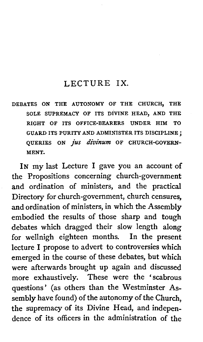#### LECTURE **IX.**

DEBATES ON THE AUTONOMY OF THE CHURCH, THE SOLE SUPREMACY OF ITS DIVINE HEAD, AND THE RIGHT OF ITS OFFICE-BEARERS UNDER HIM TO GUARD ITS PURITY AND ADMINISTER ITS DISCIPLINE ; OUERIES ON *jus divinum* OF CHURCH-GOVERN-MENT.

IN my last Lecture I gave you an account of the Propositions concerning church-government and ordination of ministers, and the practical Directory for church-government, church censures, and ordination of ministers, in which the Assembly embodied the results of those sharp and tough debates which dragged their slow length along for wellnigh eighteen months. In the present lecture I propose to advert to controversies which emerged in the course of these debates, but which were afterwards brought up again and discussed more exhaustively. These were the 'scabrous questions' (as others than the Westminster Assembly have found) of the autonomy of the Church, the supremacy of its Divine Head, and independence of its officers in the administration of the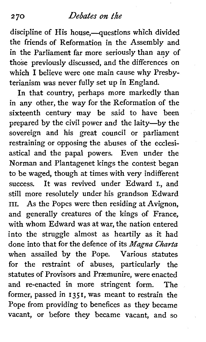discipline of His house,-questions which divided the friends of Reformation in the Assembly and in the Parliament far more seriously than any of those previously discussed, and the differences on which I believe were one main cause why Presbyterianism was never fully set up in England.

In that country, perhaps more markedly than in any other, the way for the Reformation of the sixteenth century may be said to have been prepared by the civil power and the laity-by the sovereign and his great council or parliament restraining or opposing the abuses of the ecclesiastical and the papal powers. Even under the Norman and Plantagenet kings the contest began to be waged, though at times with very indifferent success. It was revived under Edward I., and still more resolutely under his grandson Edward III. As the Popes were then residing at Avignon, and generally creatures of the kings of France, with whom Edward was at war, the nation entered into the struggle almost as heartily as it had done into that for the defence of its *Nagnu Charta*  when assailed by the Pope. Various statutes for the restraint of abuses, particularly the statutes of Provisors and Præmunire, were enacted and re-enacted in more stringent form. The former, passed in 1351, was meant to restrain the Pope from providing to benefices as they became vacant, or before they became vacant, and so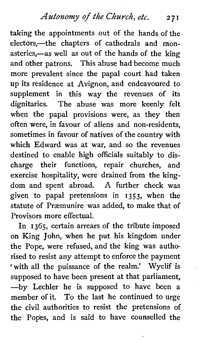Autonomy of *the* Church, etc. **2 7 <sup>I</sup>**

taking the appointments out of the hands of the electors,—the chapters of cathedrals and monasteries,—as well as out of the hands of the king and other patrons. This abuse had become much more prevalent since the papal court had taken up its residence at Avignon, and endeavoured to supplement in this way the revenues of its dignitaries. The abuse was more keenly felt when the papal provisions were, as they then often were, in favour of aliens and non-residents, sometimes in favour of natives of the country with which Edward was at war, and so the revenues destined to enable high officials suitably to discharge their functions, repair churches, and exercise hospitality, were drained from the kingdom and spent abroad. A further check was given to papal pretensions in 1353, when the statute of Præmunire was added, to make that of Provisors more effectual.

In 1365, certain arrears of the tribute imposed on King John, when he put his kingdom under the Pope, were refused, and the king was authorised to resist any attempt to enforce the payment 'with all the puissance of the realm.' Wyclif is supposed to have been present at that parliament, -by Lechler he is supposed to have been a member of it. To the last he continued to urge the civil authorities to resist the pretensions of the Popes, and is said to have counselled the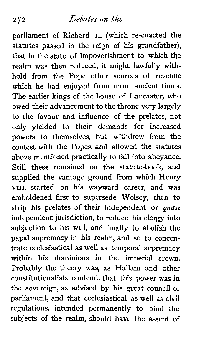parliament of Richard **11.** (which re-enacted the statutes passed in the reign of his grandfather), that in the state of impoverishment to which the realm was then reduced, it might lawfully withhold from the Pope other sources of revenue which he had enjoyed from more ancient times. The earlier kings of the house of Lancaster, who owed their advancement to the throne very largely to the favour and influence of the prelates, not only yielded to their demands for increased powers to themselves, but withdrew from the contest with the Popes, and allowed the statutes above mentioned practically to fall into abeyance. Still these remained on the statute-book, and supplied the vantage ground from which Henry **VIII.** started on his wayward career, and was emboldened first to supersede Wolsey, then to strip his prelates of their independent or **quasi**  independent jurisdiction, to reduce his clergy into subjection to his will, and finally to abolish the papal supremacy in his realm, and so to concentrate ecclesiastical as well as temporal supremacy within his dominions in the imperial crown. Probably the theory was, as Hallam and other constitutionalists contend, that this power was in the sovereign, as advised by his great council or parliament, and that ecclesiastical as well as civil regulations, intended permanently to bind the subjects of the realm, should have the assent of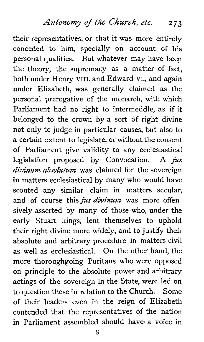Autonomy of *the* Church, *etc.* **2 73** 

their representatives, or that it was more entirely conceded to him, specially on account of his personal qualities. But whatever may have been the theory, the supremacy as a matter of fact, both under Henry VIII. and Edward VI., and again under Elizabeth, was generally claimed as the personal prerogative of the monarch, with which Parliament had no right to intermeddle, as if it belonged to the crown by a sort of right divine not only to judge in particular causes, but also to a certain extent to legislate, or without the consent of Parliament give validity to any ecclesiastical legislation proposed by Convocation. A *jus divinum absolutum* was claimed for the sovereign in matters ecclesiastical by many who would have scouted any similar claim in matters secular, and of course this *jus divinum* was more offensively asserted by many of those who, under the early Stuart kings, lent themselves to uphold their right divine more widely, and to justify their absolute and arbitrary procedure in matters civil as well as ecclesiastical. On the other hand, the more thoroughgoing Puritans who were opposed on principle to the absolute power and arbitrary actings of the sovereign in the State, were led on to question these in relation to the Church. Some of their leaders even in the reign of Elizabeth contended that the representatives of the nation in Parliament assembled should have- a voice in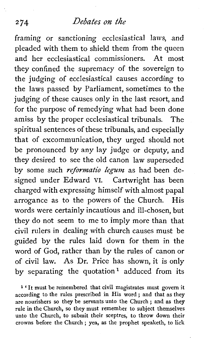framing or sanctioning ecclesiastical laws, and pleaded with them to shield them from the queen and her ecclesiastical commissioners. At most they confined the supremacy of the sovereign to the judging of ecclesiastical causes according to the laws passed by Parliament, sometimes to the judging of these causes only in the last resort, and for the purpose of remedying what had been done amiss by the proper ecclesiastical tribunals. The spiritual sentences of these tribunals, and especially that of excommunication, they urged should not be pronounced by any lay judge or deputy, and they desired to see the old canon law superseded by some such *reformatio legum* as had been designed under Edward VI. Cartwright has been charged with expressing himself with almost papal arrogance as to the powers of the Church. His words were certainly incautious and ill-chosen, but they do not seem to me to imply more than that civil rulers in dealing with church causes must be guided by the rules laid down for them in the word of God, rather than by the rules of canon or of civil law. As Dr. Price has shown, it is only by separating the quotation<sup>1</sup> adduced from its

**<sup>1</sup>**' It must be remembered that civil magistrates must govern it according to the rules prescribed in His word; and that as they are nourishers so they be servants unto the Church ; and as they rule in the Church, so they must remember to subject themselves unto the Church, to submit their sceptres, to throw down their crowns before the Church ; yea, as the prophet speaketh, to lick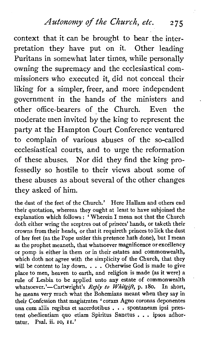*Autonomy of the* Church, etc. **<sup>275</sup>**

context that it can be brought to bear the interpretation they have put on it. Other leading Puritans in somewhat later times, while personally owning the supremacy and the ecclesiastical commissioners who executed it, did not conceal their liking for a simpler, freer, and more independent government in the hands of the ministers and . other office-bearers of the Church. Even the moderate men invited by the king to represent the party at the Hampton Court Conference ventured to complain of various abuses of the so-called ecclesiastical courts, and to urge the reformation of these abuses. Nor did they find the king professedly so hostile to their views about some of these abuses as about several of the other changes they asked of him.

the dust of the feet of the Church.' Here Hallam and others end their quotation, whereas they ought at least to have subjoined the explanation which follows : 'Wherein I mean not that the Church doth either wring the sceptres out of princes' hands, or taketh their crowns from their heads, or that it requireth princes to lick the dust of her feet (as the Pope untler this pretence hath done), but I mean **as** the prophet meaneth, that whatsoever magnificence or excellency or pomp is either in them or in their estates and commonwealth, which doth not agree with the simplicity of the Church, that they will be content to lay down. . . . Otherwise God is made to give place to men, heaven to earth, and religion is made (as it were) a rule of Lesbia to be applied unto any estate of commonwealth whatsoever.'-Cartwright's Reply to Whitgift, p. 180. In short, he means very much what the Bohemians meant when they say in their Confession that magistrates ' coram **Agno** coronas deponentes una cum aliis regibus et sacerdotibus . . . spontaneam ipsi præstent obedientiam quo etiam Spiritus Sanctus . . . ipsos adhortatur. Psal. ii. 10, 11.'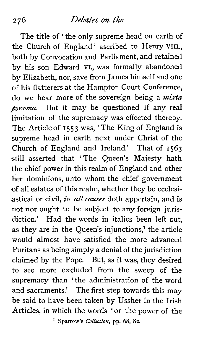The title of 'the only supreme head on earth of the Church of England' ascribed to Henry VIII. both by Convocation and Parliament, and retained by his son Edward VI., was formally abandoned by Elizabeth, nor, save from James himself and one of his flatterers at the Hampton Court Conference, do we hear more of the sovereign being a *mixta persona.* But it may be questioned if any real limitation of the supremacy was effected thereby. The Article of **I 5 53** was, ' The King of England is supreme head in earth next under Christ of the Church of England and Ireland.' That of **1563**  still asserted that 'The Queen's Majesty hath the chief power in this realm of England and other her dominions, unto whom the chief government of all estates of this realm, whether they be ecclesiastical or civil, in all causes doth appertain, and is not nor ought to be subject to any foreign jurisdiction.' Had the words in italics been left out, as they are in the Queen's injunctions.<sup>1</sup> the article would almost have satisfied the more advanced Puritans as being simply a denial of the jurisdiction claimed by the Pope. But, as it was, they desired to see more excluded from the sweep of the supremacy than 'the administration of the word and sacraments.' The first step towards this may be said to have been taken by Ussher in the Irish Articles, in which the words 'or the power of the **Sparrow's** *Collection,* **pp. 68, 82.**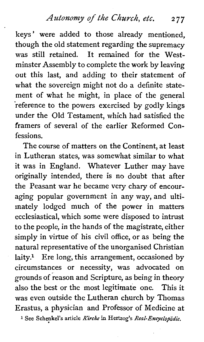Autonomy of *the* Church, etc. **2 7** 7

keys' were added to those already mentioned, though the old statement regarding the supremacy was still retained. It remained for the Westminster Assembly to complete the work by leaving out this last, and adding to their statement of what the sovereign might not do a definite statement of what he might, in place of the general reference to the powers exercised by godly kings under the Old Testament, which had satisfied the framers of several of the earlier Reformed Confessions.

The course of matters on the Continent, at least in Lutheran states, was somewhat similar to what it was in England. Whatever Luther may have originally intended, there is no doubt that after the Peasant war he became very chary of encouraging popular government in any way, and ultimately lodged much of the power in matters ecclesiastical, which some were disposed to intrust to the people, in the hands of the magistrate, either simply in virtue of his civil office, or as being the natural representative of the unorganised Christian laity.<sup>1</sup> Ere long, this arrangement, occasioned by circumstances or necessity, was advocated on grounds of reason and Scripture, as being in theory also the best or the most legitimate one. This it was even outside the Lutheran church by Thomas Erastus, a physician and Professor of Medicine at **1 See Schenkel's article** *Kirche* **in Hertzog's** *Real-Encyclofddie.*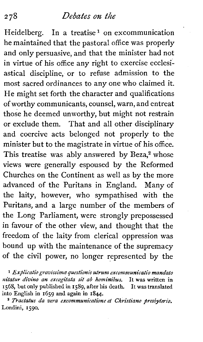Heidelberg. In a treatise<sup>1</sup> on excommunication he maintained that the pastoral office was properly and only persuasive, and that the minister had not in virtue of his office any right to exercise ecclesiastical discipline, or to refuse admission to the most sacred ordinances to any one who claimed it. He might set forth the character and qualifications of worthy communicants, counsel, warn, and entreat those he deemed unworthy, but might not restrain or exclude them. That and all other disciplinary and coercive acts belonged not properly to the minister but to the magistrate in virtue of his office. This treatise was ably answered by Beza,<sup>2</sup> whose views were generally espoused by the Reformed Churches on the Continent as well as by the more advanced of the Puritans in England. Many of the laity, however, who sympathised with the Puritans, and a large number of the members of the Long Parliament, were strongly prepossessed in favour of the other view, and thought that the freedom of the laity from clerical oppression was bound up with the maintenance of the supremacy of the civil power, no longer represented by the

**1** *Explicatw gravzssima questionis utrum excommunicatio mandato nitatzw divino an excogitata sit ab hominibus.* It **was** written in 1568, but only published in 1589, after his death. It **was** translated into English in 1659 and again in 1844.

<sup>2</sup> Tractatus da vera excommunicatione et Christiano presbyterio. Londini, 1590.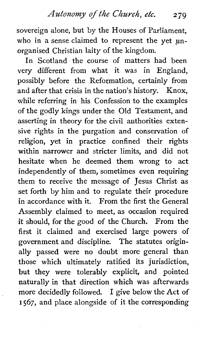sovereign alone, but by the Houses of Parliament, who in a sense claimed to represent the yet unorganised christian laity of the kingdom.

In Scotland the course of matters had been very different from what it was in England, possibly before the Reformation, certainly from and after that crisis in the nation's history. Knox, while referring in his Confession to the examples of the godly kings under the Old Testament, and asserting in theory for the civil authorities extensive rights in the purgation and conservation of religion, yet in practice confined their rights within narrower and stricter limits, and did not hesitate when he deemed them wrong to act independently of them, sometimes even requiring them to receive the message of Jesus Christ as set forth by him and to regulate their procedure in accordance with it. From the first the General Assembly claimed to meet, as occasion required it should, for the good of the Church. From the first it claimed and exercised large powers of government and discipline. The statutes originally passed were no doubt more general than those which ultimately ratified its jurisdiction, but they were tolerably explicit, and pointed naturally in that direction which was afterwards more decidedly followed. I give below the Act of I 567, and place alongside of it the corresponding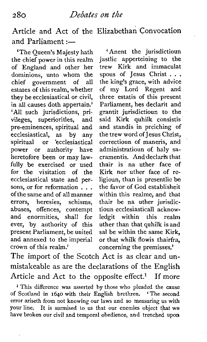Article and Act of the Elizabethan Convocation and Parliament  $:$ ---

'The Queen's Majesty hath the chief power in this realm of England and other her dominions, unto whom the chief government of all estates of this realm, whether they be ecclesiastical or civil, in all causes doth appertain.' 'All such jurisdictions, privileges, superiorities, and pre-eminences, spiritual and<br>ecclesiastical, as by any ecclesiastical, as by any<br>spiritual or ecclesiastical spiritual or power or authority have heretofore been or may lawfully be exercised or used for the visitation of the ecclesiastical state and persons, or for reformation . . . of the same and of all manner errors, heresies, schisms, abuses, offences, contempt and enormities, shall for ever, by authority of this present Parliament, be united and annexed to the imperial crown of this realm.'

' Anent the jurisdictioun justlie apperteining to the trew Kirk and immaculat<br>spous of Jesus Christ... the king's grace, with advice of my Lord Regent and three estatis of this present Parliament, hes declarit and grantit jurisdictioun to the said Kirk quhilk consistis and standis in preiching of the trew word of Jesus Christ, correctioun of maneris, and administratioun of. haly sacramentis. And declaris that thair is na uther face of Kirk nor uther face of religioun, than is presentlie be the favor of God establisheit within this realme, and that thair be na uther jurisdictioun ecclesiasticall acknowledgit within this realm uther than that quhilk is and sal be within the same Kirk, or that whilk flowis thairfra, concerning the premisses.'

The import of the Scotch Act is as clear and unmistakeable as are the declarations of the English Article and Act to the opposite effect.<sup>1</sup> If more

<sup>1</sup> This difference was asserted by those who pleaded the cause of Scotland in **1640** with their English brethren. 'The second error ariseth from not knowing our laws and so measuring us **with**  your line. It is surmised to us that our enemies object that we have broken our civil and temporal obedience, and trenched upon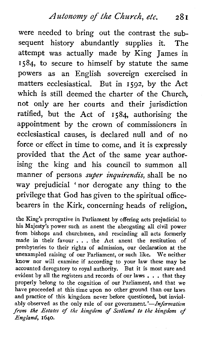Autonomy of the Church, etc. 281

were needed to bring out the contrast the subsequent history abundantly supplies it. The attempt was actually made by King James in 1584, to secure to himself by statute the same powers as an English sovereign exercised in matters ecclesiastical. But in 1592, by the Act which is still deemed the charter of the Church, not only are her courts and their jurisdiction ratified, but the Act of 1584 authorising the appointment by the crown of commissioners in ecclesiastical causes, is declared null and of no force or effect in time to come, and it is expressly provided that the Act of the same year authorising the king and his council to summon all manner of persons *super inquirendis*, shall be no way prejudicial 'nor derogate any thing to the privilege that God has given to the spiritual officebearers in the Kirk, concerning heads of religion,

the King's prerogative in Parliament by offering acts prejudicial to his Majesty's power such as anent the abrogating **all** civil power from bishops and churchmen, and rescinding all acts formerly made in their favour . . . the Act anent the restitution of presbyteries to their rights of admission, our declaration at the unexampled raising of our Parliament, or such like. We neither know nor will examine if according to your law these may be accounted derogatory to royal authority. But it is most sure and evident by all the registers and records of our laws . . . that they properly belong to the cognition of our Parliament, and that we have proceeded at this time upon no other ground than our laws and practice of this kingdom never before questioned, but inviolably observed as the only rule of our government.'-Information **from** *the* Estates of the kingdom of Scotland to the **kingdom** of England, **1640.**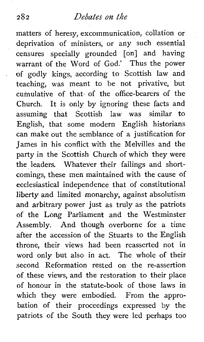matters of heresy, excommunication, collation or deprivation of ministers, or any such essential censures specially grounded [on] and having warrant of the Word of God.' Thus the power of godly kings, according to Scottish law and teaching, was meant to be not privative, but cumulative of that^ of the office-bearers of the Church. It is only by ignoring these facts and assuming that Scottish law was similar to English, that some modern English historians can make out the semblance of a justification for James in his conflict with the Melvilles and the party in the Scottish Church of which they were the leaders. Whatever their failings and shortcomings, these men maintained with the cause of ecclesiastical independence that of constitutional liberty and limited monarchy, against absolutism and arbitrary power just as truly as the patriots of the Long Parliament and the Westminster Assembly. And though overborne for a time after the accession of the Stuarts to the English throne, their views had been reasserted not in word only but also in act. The whole of their second Reformation rested on the re-assertion of these views, and the restoration to their place of honour in the statute-book of those laws in which they were embodied. From the approbation of their proceedings expressed by the patriots of the South they were led perhaps too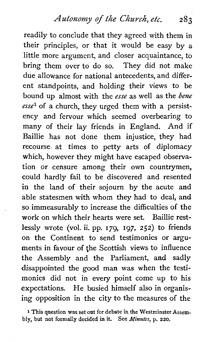Autonomy of the Church, etc. **<sup>283</sup>**

readily to conclude that they agreed with them in their principles, or that it would be easy by a little more argument, and closer acquaintance, to bring them over to do so. They did not make due allowance for national antecedents, and different standpoints, and holding their views to be bound up almost with the *esse* as well as the *bene*   $\text{ess}_{e}^{1}$  of a church, they urged them with a persistency and fervour which seemed overbearing to many of their lay friends in England. And if Baillie has not done them injustice, they had recourse at times to petty arts of diplomacy which, however they might have escaped observation or censure among their own countrymen, could hardly fail to be discovered and resented in the land of their sojourn by the acute and able statesmen with whom they had to deal, and so immeasurably to increase the difficulties of the work on which their hearts were set. Baillie restlessly wrote (vol. ii. pp. 179, 197, 252) to friends on the Continent to send testimonies or arguments in favour of the Scottish views to influence the Assembly and the Parliament, and sadly disappointed the good man was when the testimonies did not in every point come up to his expectations. He busied himself also in organising opposition in the city to the measures of the

**1** This question **was** set out for debate in the Westminster Assembly, but not **formally** decided in **it.** See **Minutes,** p. 220.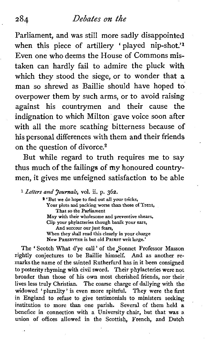Parliament, and was still more sadly disappointed when this piece of artillery 'played nip-shot.'<sup>1</sup> Even one who deems the House of Commons mistaken can hardly fail to admire the pluck with which they stood the siege, or to wonder that a man so shrewd as Baillie should have hoped to overpower them by such arms, or to avoid raising against his countrymen and their cause the indignation to which Milton gave voice soon after with all the more scathing bitterness because of his personal differences with them and their friends on the question of divorce. $2$ 

But while regard to truth requires me to say thus much of the failings of my honoured countrymen, it gives me unfeigned satisfaction to be able

**<sup>1</sup>***Letters* **and** *Journals,* vol. ii. p. 362.

**3 'But we do hope to find out all your tricks, Your plots and packing worse than those of Trent, That so the Parliament May with their wholesome and preventive shears, Clip your phylacteries though baulk your ears, And succour our just fears, When they shall read this clearly in your charge New PRESBYTER is but old PRIEST writ large.'** 

The 'Scotch What d'ye call' of the Sonnet Professor Masson rightly conjectures to be Baillie himself. And as another remarks the name of the sainted Rutherfurd has in it been consigned to posterity rhyming with civil sword. Their phylacteries were not broader than those of his own most cherished friends, nor their lives less truly Christian. The coarse charge of dallying with the widowed ' plurality ' is even more spiteful. They were the first in England to refuse to give testimonials to ministers seeking institution to more than one parish. Several of them held a benefice in connection with a University chair, but that was *a*  union of offices allowed in the Scottish, French, and Dutch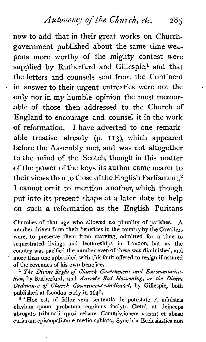*Autonony of the Ckurch, etc.* <sup>285</sup>

now to add that in their great works on Churchgovernment published about the same time weapons more worthy of the mighty contest were supplied by Rutherfurd and Gillespie,<sup>1</sup> and that the letters and counsels sent from the Continent in answer to their urgent entreaties were not the only nor in my humble opinion the most memorable of those then addressed to the Church of England to encourage and counsel it in the work of reformation. I have adverted to one remarkable treatise already (p. I I **3),** which appeared before the Assembly met, and was not altogether to the mind of the Scotch, though in this matter of the power of the keys its author came nearer to their views than to those of the English Parliament.<sup>2</sup> I cannot omit to mention another, which though put into its present shape at a later date to help on such a reformation as the English Puritans

Churches of that age who allowed no plurality of parishes. A number driven from their benefices in the country by the Cavaliers were, to preserve them from starving, admitted for a time to sequestrated livings and lectureships in London, but as the country was pacified the number even of these **was** diminished, and more than one upbraided with this fault offered to resign if assured of the revenues of his own benefice.

*The Divine Right of Church Gvvernment and Excommunication,* by Rutherfurd, and *Aaron's Rod blossoming, or the Divine Ordinance of Church Govcmnzent vindicated,* by Gillespie, both published at London early in 1646.

**<sup>2</sup>**'Hoc est, ni fallor vera sententia de potestate et ministris clavium quam probatam cupimus inclyto Caetui ut deinceps abrogate tribunal! quod celsam Commissionem vocant et abusu curiarum episcopalium e medio sublato, Synedria Ecclesiastica non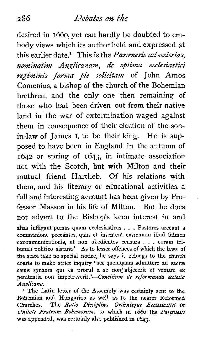desired in 1660, yet can hardly be doubted to embody views which its author held and expressed at this earlier date.<sup>1</sup> This is the *Paranesis adecclesias*. nominatim Anglicanam, de optima ecclesiastici regiminis forma pie solicitam of John Amos Comenius, a bishop of the church of the Bohemian brethren, and the only one then remaining of those who had been driven out from their native land in the war of extermination waged against them in consequence of their election of the sonin-law of James I. to be their king. He is supposed to have been in England in the autumn of 1642 or spring of 1643, in intimate association not with the Scotch, **but** with Milton and their mutual friend Hartlieb. Of his relations with them, and his literary or educational activities, a full and interesting account has been given by Professor Masson in his life of Milton. But he does not advert to the Bishop's keen interest in and alias infligant poenas quam ecclesiasticas . . . Pastores arceant a communione peccantes, quin et intentent extremum illud fulmen excommunicationis, ut non obedientes censura . . . coram tribunali politico sistant.' As to lesser offences of which the laws of the state take no special notice, he says it belongs to the church courts to make strict inquiry 'nec quemquam admittere ad sacræ cænæ synaxin qui ea procul a se non'abjecerit et veniam ex penitentia non impetraverit.'-Consilium de reformanda ecclesia Anglicana.

<sup>1</sup> The Latin letter of the Assembly was certainly sent to the Bohemian and Hungarian as well as to the nearer Reformed Churches. The Ratio Disciplina Ordinisque Ecclesiastici in Unitate Fratrum Bohemorum, to which in  $1660$  the Paranesis was appended, was certainly also published in 1643.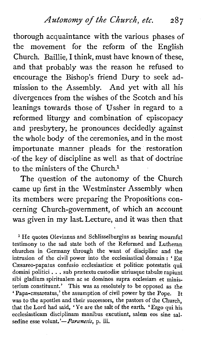thorough acquaintance with the various phases of the movement for the reform of the English Church. Baillie, I think, must have known of these, and that probably was the reason he refused to encourage the Bishop's friend Dury to seek admission to the Assembly. And yet with all his divergences from the wishes of the Scotch and his leanings towards those of Ussher in regard to a reformed liturgy and combination of episcopacy and presbytery, he pronounces decidedly against the whole body of the ceremonies, and in the most importunate manner pleads for the restoration of the key of discipline as well as that of doctrine to the ministers of the Church.<sup>1</sup>

The question of the autonomy of the Church came up first in the Westminster Assembly when its members were preparing the Propositions concerning Church-government, of which an account was given in my last. Lecture, and it was then that

<sup>1</sup> He quotes Olevianus and Schlisselburgius as bearing mournful testimony to the sad state both of the Reformed and Lutheran churches in Germany through the want of discipline and the intrusion of the civil power into the ecclesiastical domain : ' Est Cæsareo-papatus confusio ecclesiasticæ et politicæ potestatis quâ domini politici . . . sub prætextu custodiæ utriusque tabulæ rapiunt sibi gladium spiritualem ac se dominos supra ecclesiam et ministerium constituunt.' This was as resolutely to be opposed as the ' Papa-cæsareatus,' the assumption of civil power by the Pope. It was to the apostles and their successors, the pastors of the Church, that the Lord had said, 'Ye are the salt of the earth. 'Ergo qui his ecclesiasticam disciplinam manibus excutiunt, salem eos sine salsedine esse volunt.'- *Paranesis*, p. iii.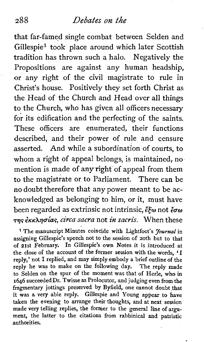that far-famed single combat between Selden and Gillespiel took place around which later Scottish tradition has thrown such a halo. Negatively the Propositions are against any human headship, or any right of the civil magistrate to rule in Christ's house. Positively they set forth Christ as the Head of the Church and Head over all things to the Church, who has given all officers necessary for its edification and the perfecting of the saints. These officers are enumerated, their functions described, and their power of rule and censure asserted. And while a subordination of courts, to whom a right of appeal belongs, is maintained, no mention is made of any right of appeal from them to the magistrate or to Parliament. There can be no doubt therefore that any power meant to be acknowledged as belonging to him, or it, must have been regarded as extrinsic not intrinsic,  $\ell \xi \omega$  not  $\zeta \sigma \omega$ &cic\iluiay, **circa sacra** not **in sacyis.** When these

**1** The manuscript Minutes coincide with Lightfoot's *Journal* in assigning Gillespie's speech not to the session of 20th but to that of 21st February. In Gillespie's own Notes it is introduced at the close of the account of the former session with the words. 'I reply,' not I replied, and may simply embody a brief outline of the reply he was to make on the following day. The reply made to Selden on the spur of the moment was that of Herle, who in 1646 succeededDr. Twisse as Prolocutor, and judging even from the fragmentary jottings preserved by Byfield, one cannot doubt that it was a very able reply. Gillespie and Young appear to have taken the evening to arrange their thoughts, and at next session made very telling replies, the former to the general line of argument, the latter to the citations from rabbinical and patristic authorities.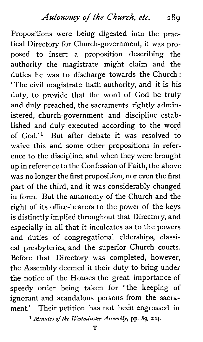Propositions were being digested into the practical Directory for Church-government, it was proposed to insert a proposition describing the authority the magistrate might claim and the duties he was to discharge towards the Church : 'The civil magistrate hath authority, and it is his duty, to provide that the word of God be truly and duly preached, the sacraments rightly administered, church-government and discipline established and duly executed according to the word of God.'l But after debate it was resolved to waive this and some other propositions in reference to the discipline, and when they were brought up in reference to the Confession of Faith, the above was no longer the first proposition, nor even the first part of the third, and it was considerably changed in form. But the autonomy of the Church and the right of its office-bearers to the power of the keys is distinctly implied throughout that Directory, and especially in all that it inculcates as to the powers and duties of congregational elderships, classical presbyteries, and the superior Church courts. Before that Directory was completed, however, the Assembly deemed it their duty to bring under the notice of the Houses the great importance of speedy order being taken for 'the keeping of ignorant and scandalous persons from the sacrament.' Their petition has not been engrossed in

*Minutes of the Westminster Assembly,* **pp.** *89, 224.*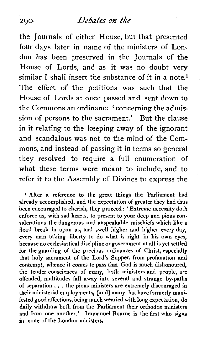## **290~** *Debakes* **on** *the*

the Journals of either House, but that presented four days later in name of the ministers of London has been preserved in the Journals of the House of Lords, and as it was no doubt **very**  similar I shall insert the substance of it in a note.<sup>1</sup> The effect of the petitions was such that the House of Lords at once passed and sent down to the Commons an ordinance ' concerning the admission of persons to the sacrament.' But the clause in it relating to the keeping away of the ignorant and scandalous was not to the mind of the Commons, and instead of passing it in terms so general they resolved to require a full enumeration of what these terms were meant to include, and to refer it to the Assembly of Divines to express the

**<sup>1</sup>**After a reference to the great things the Parliament had already accomplished, and the expectation of greater they had thus been encouraged to cherish, they proceed: 'Extreme necessity doth enforce us, with sad hearts, to present to your deep and pious considerations the dangerous and unspeakable mischiefs which like a flood break in upon us, and swell higher and higher every day, every man taking liberty to do what is right in his own eyes, because no ecclesiastical discipline or government at all is yet settled for the guarding of the precious ordinances of Christ, especially that holy sacrament of the Lord's Supper, from profanation and contempt, whence it comes to pass that God is much dishonoured, the tender consciences of many, both ministers and people, are offended, multitudes fall away into several and strange by-paths of separation . . . the pious ministers are extremely discouraged in their ministerial employments, [and] many that have formerly manifested good affections, being much wearied with long expectation, do daily withdraw both from the Parliament their orthodox ministers and from one another.' Immanuel Bourne is the first who signs in name of the London ministers.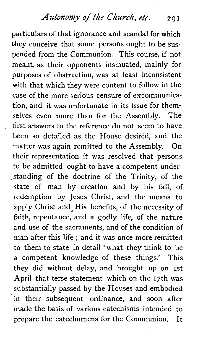*Autonomy of the Church, etc.* 201

particulars of that ignorance and scandal for which they conceive that some persons ought to be suspended from the Communion. This course, if not meant, as their opponents insinuated, mainly for purposes of obstruction, was at least inconsistent with that which they were content to follow in the case of the more serious censure of excommunication, and it was unfortunate in its issue for themselves even more than for the Assembly. The first answers to the reference do not seem to have been so detailed as the House desired, and the matter was again remitted to the Assembly. On their representation it was resolved that persons to be admitted ought to have a competent understanding of the doctrine of the Trinity, of the state of man by creation and by his fall, of redemption by Jesus Christ, and the means to apply Christ and His benefits, of the necessity of faith, repentance, and a godly life, of the nature and use of the sacraments, and of the condition of man after this life ; and it was once more remitted to them to state in detail 'what they think to be a competent knowledge of these things.' This they did without delay, and brought up on 1st April that terse statement which on the 17th was substantially passed by the Houses and embodied in their subsequent ordinance, and soon after made the basis of various catechisms intended to prepare the catechumens for the Communion. It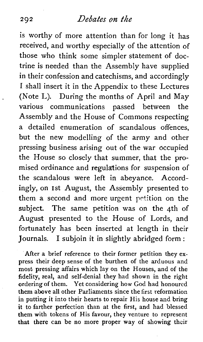is worthy of more attention than for long it has received, and worthy especially of the attention of those who think some simpler statement of doctrine is needed than the Assembly have supplied in their confession and catechisms, and accordingly I shall insert it in the Appendix to these Lectures (Note L). During the months of April and May various communications passed between the Assembly and the House of Commons respecting a detailed enumeration of scandalous offences, but the new modelling of the army and other pressing business arising out of the war occupied the House so closely that summer, that the promised ordinance and regulations for suspension of the scandalous were left in abeyance. Accordingly, on 1st August, the Assembly presented to them a second and more urgent petition on the subject. The same petition was on the 4th of August presented to the House of Lords, and fortunately has been inserted at length in their Journals. I subjoin it in slightly abridged form :

'After a brief reference to their former petition they express their deep sense of the burthen of the arduous and most pressing affairs which lay on the Houses, and of the fidelity, zeal, and self-denial they had shown in the right ordering of them. Yet considering how God had honoured them above all other Parliaments since the first reformation in putting it into their hearts to repair His house and bring **it** to farther perfection than at the first, and had blessed them with tokens of His favour, they venture to represent that there can be no more proper way of showing their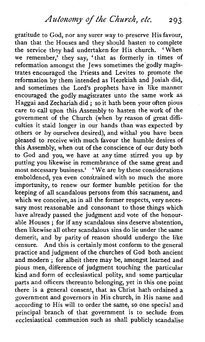*Azitonomy* **of** the *Church, etc.* **<sup>293</sup>**

gratitude to God, nor any surer way to preserve His favour, than that the Houses and they should hasten to complete the service they had undertaken for His church. 'When we remember,' they say, 'that as formerly in times of reformation amongst the Jews sometimes the'godly magistrates encouraged the Priests and Levites to promote the reformation by them intended as Hezekiah and Josiah did, and sometimes the Lord's prophets have in like manner encouraged the godly magistrates unto the same work as Haggai and Zechariah did ; so it hath been your often pious care to call upon this Assembly to hasten the work of the government of the Church (when by reason of great difficulties it staid longer in our hands than was expected by others or by ourselves desired), and withal you have been pleased to receive with much favour the humble desires of this Assembly, when out of the conscience of our duty both to God and you, we have at any time stirred you up by putting you likewise in remembrance of the same great and most necessary business.' 'We are bv these considerations emboldened, yea even constrained with so much the more importunity, to renew our former humble petition for the keeping of all scandalous persons from this sacrament, and which we conceive, as in all the former respects, very necessary most reasonable and consonant to those things which have already passed the judgment and vote of the honourable Houses ; for if any scandalous sins deserve abstention, then likewise all other scandalous sins do lie under the same demerit, and by parity of reason should undergo the like censure. And this is certainly most conform to the general practice and judgment of the churches of God both ancient and modern ; for albeit there may be, amongst learned and pious men, difference of judgment touching the particular kind and form of ecclesiastical polity, and some particular parts and officers thereunto belonging, yet in this one point there is a general consent, that as Christ hath ordained a government and governors in His church, in His name and according to His will to order the same, so one special and principal branch of that government is to seclude from ecclesiastical communion such as shall publicly scandalise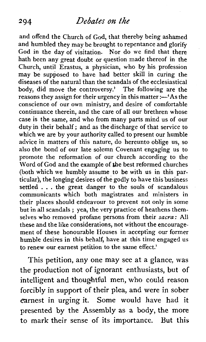and offend the Church of God, that thereby being ashamed and humbled they may be brought to repentance and glorify God in the day of visitation. Nor do we find that there hath been any great doubt or question made thereof in the Church, until Erastus, a physician, who by his profession may be supposed to have had better skill in curing the diseases of the natural than the scandals of the ecclesiastical body, did move the controversy.' The following are the reasons they assign for their urgency in this matter :- 'As the conscience of our own ministry, and desire of comfortable continuance therein, and the care of all our brethren whose case is the same, and who from many parts mind us of our duty in their behalf; and as the discharge of that service to which we are by your authority called to present our humble advice in matters of this nature, do hereunto oblige us, so also the bond of our late solemn Covenant engaging us to promote the reformation of our church according to the Word of God and the example of the best reformed churches (both which we humbly assume to be with us in this particular), the longing desires of the godly to have this business settled . . . the great danger to the souls of scandalous communicants which both magistrates and ministers in their places should endeavour to prevent not only in some but in all scandals ; yea, the very practice of heathens themselves who removed profane persons from their *sacya* : All these and the like considerations, not without the encouragement of these honourable Houses in accepting our former humble desires in this behalf, have at this time engaged us to renew our earnest petition to the same effect.'

This petition, any one may see at a glance, **was**  the production not of ignorant enthusiasts, but of intelligent and thoughtful men, who could reason forcibly in support of their plea, and were in sober earnest in urging it. Some would have had it presented by the Assembly as a body, the more to mark their sense of its importance. But this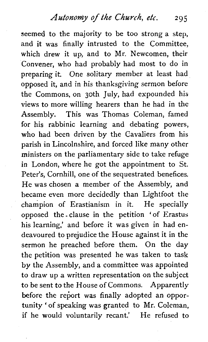seemed to the majority to be too strong a step, and it was finally intrusted to the Committee, which drew it up, and to Mr. Newcomen, their Convener, who had probably had most to do in preparing it. One solitary member at least had opposed it, and in his thanksgiving sermon before the Commons, on 30th July, had expounded his views to more willing hearers than he had in the Assembly. This was Thomas Coleman, famed for his rabbinic learning and debating powers, who had been driven by the Cavaliers from his parish in Lincolnshire, and forced like many other ministers on the parliamentary side to take refuge in London, where he got the appointment to St. Peter's, Cornhill, one of the sequestrated benefices. He was chosen a member of the Assembly, and became even more decidedly than Lightfoot the champion of Erastianism in it. He specially opposed the clause in the petition 'of Erastus his learning,' and before it was given in had endeavoured to prejudice the House against it in the sermon he preached before them. On the day the petition was presented he was taken to task by the Assembly, and a committee was appointed to draw up *a* written representation on the subject to be sent to the House of Commons. Apparently before the report was finally adopted an opportunity ' of speaking was granted to Mr. Coleman, if he would voluntarily recant.' He refused to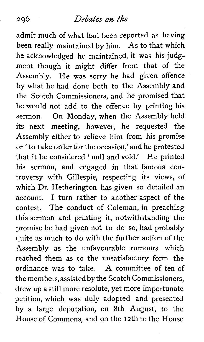## *Debates* **0%** *the*

admit much of what had been reported as having been really maintained by him. As to that which he acknowledged he maintained, it was his judgment though it might differ from that of the Assembly. He was sorry he had given offence by what he had done both to the Assembly and the Scotch Commissioners, and he promised that he would not add to the offence by printing his sermon. On Monday, when the Assembly held its next meeting, however, he requested the Assembly either to relieve him from his promise or 'to take order for the occasion,' and he protested that it be considered ' null and void.' He printed his sermon, and engaged in that famous controversy with Gillespie, respecting its views, of which Dr. Hetherington has given so detailed an account. I turn rather to another aspect of the contest. The conduct of Coleman, in preaching this sermon and printing it, notwithstanding the promise he had given not to do so, had probably quite as much to do with the further action of the Assembly as the unfavourable rumours which reached them as to the unsatisfactory form the ordinance was to take. **A** committee of ten of the members, assisted by the Scotch Commissioners, drew up a still more resolute, yet more importunate petition, which was duly adopted and presented by a large deputation, on 8th August, to the House of Commons, and on the 12th to the House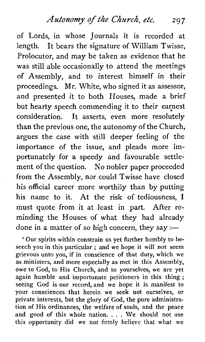Autonomy of the Church, etc. 297

of Lords, in whose Journals it is recorded at length. It bears the signature of William Twisse, Prolocutor, and may be taken as evidence that he was still able occasionally to attend the meetings of Assembly, and to interest himself in their proceedings. Mr. White, who signed it as assessor, and presented it to both Houses, made a brief but hearty speech commending it to their earnest consideration. It asserts, even more resolutely than the previous one, the autonomy of the Church, argues the case with still deeper feeling of the importance of the issue, and pleads more importunately for a speedy and favourable settlement of the question. No nobler paper proceeded from the Assembly, nor could Twisse have closed his official career more worthily than by putting his name to it. At the risk of tediousness, I must quote from it at least in part. After reminding the Houses of what they had already done in a matter of so high concern, they say :-

' Our spirits within constrain us yet further humbly to beseech you in this particular ; and we hope it will not seem grievous unto you, if in conscience of that duty, which we as ministers, and more especially as met in this Assembly, owe to God, to His Church, and to yourselves, we are yet again humble and importunate petitioners in this thing ; seeing God is our record, and we hope it is manifest to your consciences that herein we seek not ourselves, or private interests, but the glory of God, the pure administration of His ordinances, the welfare of souls, and the peace and good of this whole nation. . . . We should not use this opportunity did we not firmly believe that what we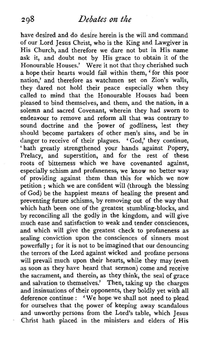have desired and do desire herein is the will and command of our Lord Jesus Christ, who is the King and Lawgiver in His Church, and therefore we dare not but in His name ask it, and doubt not by His grace to obtain it of the Honourable Houses.' Were it not that they cherished such a hope their hearts would fail within them, 'for this poor nation,' and therefore as watchmen set on Zion's walls, they dared not hold their peace especially when they called to mind that the Honourable Houses had been pleased to bind themselves, and them, and the nation, in a solemn and sacred Covenant, wherein they had sworn to endeavour to remove and reform all that was contrary to sound doctrine and the power of godliness, lest they should become partakers of other men's sins, and be in danger to receive of their plagues. 'God,' they continue, ' hath greatly strengthened your hands against Popery, Prelacy, and superstition, and for the rest of these roots of bitterness which we have covenanted against, especially schism and profaneness, we know no better way of providing against them than this for which we now petition ; which we are confident will (through the blessing of God) be the happiest means of healing the present and preventing future schisms, by removing out of the way that which hath been one of the greatest stumbling-blocks, and by reconciling all the godly in the kingdom, and will give much ease and satisfaction to weak and tender consciences. and which will give the greatest check to profaneness as sealing conviction upon the consciences of sinners most powerfully ; for it is not to be imagined that our denouncing the terrors of the Lord against wicked and profane persons will prevail much upon their hearts, while they may (even as soon as they have heard that sermon) come and receive the sacrament, and therein, as they think, the seal of grace and salvation to themselves.' Then, taking up the charges and insinuations of their opponents, they boldly yet with all deference continue : 'We hope we shall not need to plead for ourselves that the power of keeping away scandalous and unworthy persons from the Lord's table, which Jesus Christ hath placed in the ministers and elders of His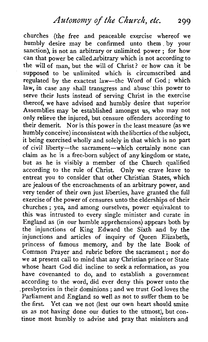churches (the free and peaceable exercise whereof we humbly desire may be confirmed unto them. by your sanction), is not an arbitrary or unlimited power ; for how can that power be called arbitrary which is not according to the will of man, but the will of Christ ? or how can it be supposed to be unlimited which is circumscribed and regulated by the exactest law-the Word of God; which law, in case any shall transgress and abuse'this power to serve their lusts instead of serving Christ in the exercise thereof, we have advised and humbly desire that superior Assemblies may be established amongst us, who may not only relieve the injured, but censure offenders according to their demerit. Nor is this power in the least measure (as we humbly conceive) inconsistent with theliberties of the subject, it being exercised wholly and solely in that which is no part of civil liberty-the sacrament-which certainly none can claim as he is a free-born subject of any kingdom or state, but as he is visibly a member of the Church qualified according to the rule of Christ. Only we crave leave to entreat you to consider that other Christian States, which are jealous of the encroachments of an arbitrary power, and very tender of their own just liberties, have granted the full exercise of the power of censures unto the elderships of their churches ; yea, and among ourselves, power equivalent to this was intrusted to every single minister and curate in England as (in our humble apprehensions) appears both by the injunctions of King Edward the Sixth and by the injunctions and articles of inquiry of Queen Elizabeth, princess of famous memory, and by the late Book of Common Prayer and rubric before the sacrament ; nor do we at present call to mind that any Christian prince or State whose heart God did incline to seek a reformation, as you have covenanted to do, and to establish a government according to the word, did ever deny this power unto the presbyteries in their dominions ; and we trust God loves the Parliament and England so well as not to suffer them to be the first. Yet can we not (lest our own heart should smite us as not having done our duties to the utmost), but continue most humbly to advise and pray that ministers and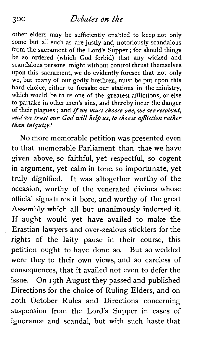other elders may be sufficiently enabled to keep not only some but all such as are justly and notoriously scandalous from the sacrament of the Lord's Supper ; for should things be so ordered (which God forbid) that any wicked and scandalous persons might without control thrust themselves upon this sacrament, we do evidently foresee that not only we, but many of our godly brethren, must be put upon this hard choice, either to forsake our stations in the ministry, which would be to us one of the greatest afflictions, or else to partake in other men's sins, and thereby incur the danger of their plagues ; and *if* we must choose one, we areresolved, and we trust our God will help us, to choose affliction rather than iniquity.'

No more memorable petition was presented even to that memorable Parliament than that we have given above, so faithful, yet respectful, so cogent in argument, yet calm in tone, so importunate, yet truly dignified. It was altogether worthy of the occasion, worthy of the venerated divines whose official signatures it bore, and worthy of the great Assembly which all but unanimously indorsed it. If aught would yet have availed to make the Erastian lawyers and over-zealous sticklers for the rights of the laity pause in their course, this petition ought to have done so. But so wedded were they to their own views, and so careless of consequences, that it availed not even to defer the issue. On 19th August they passed and published Directions for the choice of Ruling Elders, and on 20th October Rules and Directions concerning suspension from the Lord's Supper in cases of ignorance and scandal, but with such haste that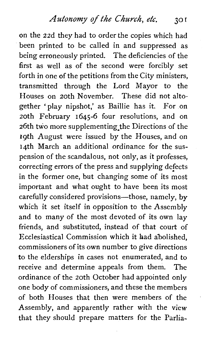Autonomy of the Church, etc. 301

on the 22d they had to order the copies which had been printed to be called in and suppressed as being erroneously printed. The deficiencies of the first as well as of the second were forcibly set forth in one of the petitions from the City ministers, transmitted through the Lord Mayor to the Houses on 20th November. These did not altogether 'play nipshot,' as Baillie has it. For on 20th February 1645-6 four resolutions, and on 26th two more supplementing the Directions of the 19th August were issued by the Houses, and on 14th March an additional ordinance for the suspension of the scandalous, not only, as it professes, correcting errors of the press and supplying defects in the former one, but changing some of its most important and what ought to have been its most carefully considered provisions-those, namely, by which it set itself in opposition to the Assembly and to many of the most devoted of its own lay friends, and substituted, instead of that court of Ecclesiastical Commission which it had abolished, commissioners of its own number to give directions to the elderships in cases not enumerated, and to receive and determine appeals from them. The ordinance of the 20th October had appointed only one body of commissioners, and these the members of both Houses that then were members of the Assembly, and apparently rather with the view that they should prepare matters for the Parlia-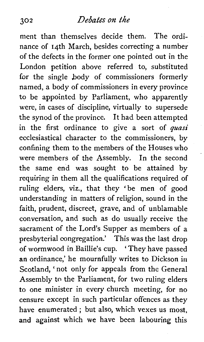ment than themselves decide them. The ordinance of 14th March, besides correcting a number of the defects in the former one pointed out in the London petition above referred to, substituted for the single body of commissioners formerly named, a body of commissioners in every province to be appointed by Parliament, who apparently were, in cases of discipline, virtually to supersede the synod of the province. It had been attempted in the first ordinance to give a sort of *quasi* ecclesiastical character to the commissioners, by confining them to the members of the Houses who were members of the Assembly. In the second the same end was sought to be attained by requiring in them all the qualifications required of ruling elders, viz., that they 'be men of good understanding in matters of religion, sound in the faith, prudent, discreet, grave, and of unblamable conversation, and such as do usually receive the sacrament of the Lord's Supper as members of a presbyterial congregation.' This was the last drop of wormwood in Baillie's cup. ' They have passed an ordinance,' he mournfully writes to Dickson in Scotland, 'not only for appeals from the General Assembly to the Parliament, for two ruling elders to one minister in every church meeting, for no censure except in such particular offences as they have enumerated ; but also, which vexes us most, and against which we have been labouring this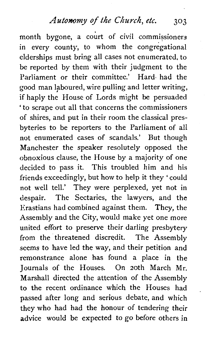*Autonomy* **of** *the Church, etc.* 303

month bygone, a court of civil commissioners in every county, to whom the congregational elderships must bring all cases not enumerated, to be reported by them with their judgment to the Parliament or their committee.' Hard- had the good man laboured, wire pulling and letter writing, if haply the House of Lords might be persuaded ' to scrape out all that concerns the commissioners of shires, and put in their room the classical presbyteries to be reporters to the Parliament of all not enumerated cases of scandals.' But though Manchester the speaker resolutely opposed the obnoxious clause, the House by a majority of one decided to pass it. This troubled him and his friends exceedingly, but how to help it they ' could not well tell.' They were perplexed, yet not in despair. The Sectaries, the lawyers, and the Erastians had combined against them. They, the Assembly and the City, would make yet one more united effort to preserve their darling presbytery from the threatened discredit. The Assembly seems to have led the way, and their petition and remonstrance alone has found a place in the Journals of the Houses. On 20th March Mr. Marshal1 directed the attention of the Assembly to the recent ordinance which the Houses had passed after long and serious debate, and which they who had had the honour of tendering their advice would be expected to go before others in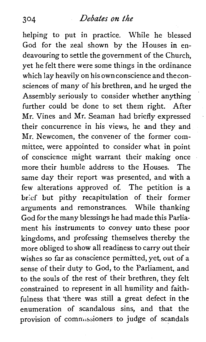helping to put in practice. While he blessed God for the zeal shown by the Houses in endeavouring to settle the government of the Church, yet he felt there were some things in the ordinance which lay heavily on his ownconscience and theconsciences of many of his brethren, and he urged the Assembly seriously to consider whether anything further could be done to set them right. After Mr. Vines and Mr. Seaman had briefly expressed their concurrence in his views, he and they and Mr. Newcomen, the convener of the former committee, were appointed to consider what in point of conscience might warrant their making once more their humble address to the Houses. The same day their report was presented, and with a few alterations approved of. The petition is a brief but pithy recapitulation of their former arguments and remonstrances. While thanking God for the many blessings he had made this Parliament his instruments to convey unto these poor kingdoms, and professing themselves thereby the more obliged to show all readiness to carry out their wishes so far as conscience permitted, yet, out of a sense of their duty to God, to the Parliament, and to the souls of the rest of their brethren, they felt constrained to represent in all humility and faithfulness that "there was still a great defect in the enumeration of scandalous sins, and that the provision of commissioners to judge of scandals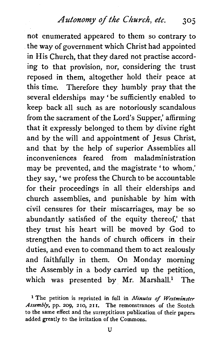Autonomy of the Church, etc. 305

not enumerated appeared to them so contrary to the way of government which Christ had appointed in His Church, that they dared not practise according to that provision, nor, considering the trust reposed in them, altogether hold their peace at this time. Therefore they humbly pray that the several elderships may ' be sufficiently enabled to keep back all such as are notoriously scandalous from the sacrament of the Lord's Supper,' affirming that it expressly belonged to them by divine right and by the will and appointment of Jesus Christ, and that by the help of superior Assemblies all inconveniences feared from maladministration may be prevented, and the magistrate ' to whom,' they say, 'we profess the Church to be accountable for their proceedings in all their elderships and church assemblies, and punishable by him with civil censures for their miscarriages, may be so abundantly satisfied of the equity thereof,' that they trust his heart will be moved by God to strengthen the hands of church officers in their duties, and even to command them to act zealously and faithfully in them. On Monday morning the Assembly in a body carried up the petition, which was presented by Mr. Marshall.<sup>1</sup> The

**The petition is reprinted in full in** *Minutes* **of** *Westminster Assembly,* **pp. 209, 210, 211. The remonstrances of the Scotch to the same effect and the surreptitious publication of their papers added greatly to the irritation of the Commons.**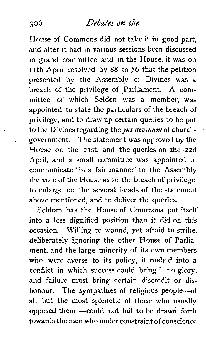House of Commons did not take it in good part, and after it had in various sessions been discussed in grand committee and in the House, it was on 11th April resolved by 88 to 76 that the petition presented by the Assembly of Divines was a breach of the privilege of Parliament. A committee, of which Selden was a member, was appointed to state the particulars of the breach of privilege, and to draw up certain queries to be put to the Divines regarding the *jus divinum* of churchgovernment. The statement was approved by the House on the 21st, and the queries on the 22d April, and a small committee was appointed to communicate 'in a fair manner' to the Assembly the vote of the House as to the breach of privilege, to enlarge on the several heads of the statement above mentioned, and to deliver the queries.

Seldom has the House of Commons put itself into a less dignified position than it did on this occasion. Willing to wound, yet afraid to strike, deliberately ignoring the other House of Parliament, and the large minority of its own members who were averse to its policy, it rushed into a conflict in which success could bring it no glory, and failure must bring certain discredit or dishonour. The sympathies of religious people-of all but the most splenetic of those who usually opposed them - could not fail to be drawn forth towards the men who under constraint of conscience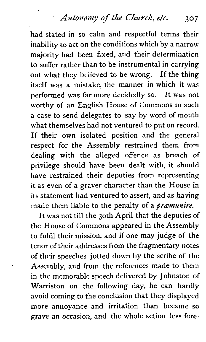# *Autonomy* **of** *t/ie Chz~rcA, etc.* **<sup>307</sup>**

had stated in so calm and respectful terms their inability to act on the conditions which by a narrow majority had been fixed, and their determination to suffer rather than to be instrumental in carrying out what they believed to be wrong. If the thing itself was a mistake, the manner in which it was performed was far more decidedly so. It was not worthy of an English House of Commons in such a case to send delegates to say by word of mouth what themselves had not ventured to put on record. If their own isolated position and the general respect for the Assembly restrained them from dealing with the alleged offence as breach of privilege should have been dealt with, it should have restrained their deputies from representing it as even of a graver character than the House in its statement had ventured to assert, and as having made them liable to the penalty of a *pramunire*.

It was not till the 30th April that the deputies of the House of Commons appeared in the Assembly to fulfil their mission, and if one may judge of the tenor of their addresses from the fragmentary notes of their speeches jotted down by the scribe of the Assembly, and from the references made to them in the memorable speech delivered by Johnston of Warriston on the following day, he can hardly avoid coming to the conclusion that they displayed more annoyance and irritation than became so grave an occasion, and the whole action less fore-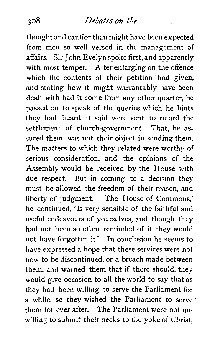thought and cautionthan might have been expected from men so well versed in the management of affairs. Sir John Evelyn spoke first, and apparently with most temper. After enlarging on the offence which the contents of their petition had given, and stating how it might warrantably have been dealt with had it come from any other quarter, he passed on to speak of the queries which he hints they had heard it said were sent to retard the settlement of church-government. That, he assured them, was not their object in sending them. The matters to which they related were worthy of serious consideration, and the opinions of the Assembly would be received by the House with due respect. But in coming to a decision they must be allowed the freedom of their reason, and liberty of judgment. ' The House of Commons,' he continued, 'is very sensible of the faithful and useful endeavours of yourselves, and though they had not been so often reminded of it they would not have forgotten it.' In conclusion he seems to have expressed a hope that these services were not now to be discontinued, or a breach made between them, and warned them that if there should, they would give occasion to all the world to say that as they had been willing to serve the Parliament for a while, so they wished the Parliament to serve them for ever after. The Parliament were not unwilling to submit their necks to the yoke of Christ,

 $308$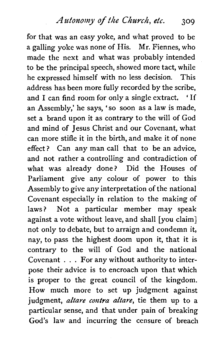*Az~tonomy* of *the* Church, *etc.* **<sup>309</sup>**

for that was an easy yoke, and what proved to be a galling yoke was none of His. Mr. Fiennes, who made the next and what was probably intended to be the principal speech, showed more tact, while he expressed himself with no less decision. This address has been more fully recorded by the scribe, and I can find room for only a single extract. ' If an Assembly,' he says, 'so soon as a law is made, set a brand upon it as contrary to the will of God and mind of Jesus Christ and our Covenant, what can more stifle it in the birth, and make it of none effect? Can any man call that to be an advice, and not rather a controlling and contradiction of what was already done? Did the Houses of Parliament give any colour of power to this Assembly to give any interpretation of the national Covenant especially in relation to the making of laws? Not a particular member may speak against a vote without leave, and shall [you claim] not only to debate, but to arraign and condemn it, nay, to pass the highest doom upon it, that it is contrary to the will of God and the national Covenant . . . For any without authority to interpose their advice is to encroach upon that which is proper to the great council of the kingdom. How much more to set up judgment against judgment, *altare contra altare,* tie them up to a particular sense, and that under pain of breaking God's law and incurring the censure of breach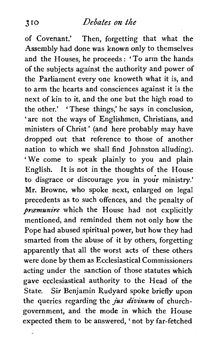of Covenant.' Then, forgetting that what the Assembly had done was known only to themselves and the Houses, he proceeds : ' To arm the hands of the subjects against the authority and power of the Parliament every one knoweth what it is, and to arm the hearts and consciences against it is the next of kin to it, and the one but the high road to the other.' 'These things,' he says in conclusion, 'are not the ways of Englishmen, Christians, and ministers of Christ ' (and here probably may have dropped out that reference to those of another nation to which we shall find Johnston alluding). 'We come to speak plainly to you and plain English. It is not in the thoughts of the House to disgrace or discourage you in your ministry.' Mr. Browne, who spoke next, enlarged on legal precedents as to such offences, and the penalty of *prcemunire* which the House had not explicitly mentioned, and reminded them not only how the Pope had abused spiritual power, but how they had smarted from the abuse of it by others, forgetting apparently that all the worst acts of these others were done by them as Ecclesiastical Commissioners acting under the sanction of those statutes which gave ecclesiastical authority to the Head of the State. Sir Benjamin Rudyard spoke briefly upon the queries regarding the jus *divinum* of churchgovernment, and the mode in which the House expected them to be answered, ' not by far-fetched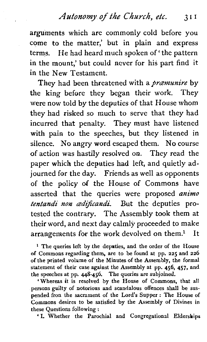arguments which are commonly cold before you come *to* the matter,' but in plain and express terms. He had heard much spoken of ' the pattern in the mount,' but could never for his part find it in the New Testament.

They had been threatened with a *pramunire* by the king before they began their work. They were now told by the deputies of that House whom they had risked so much to serve that they had incurred that penalty. They must have listened with pain to the speeches, but they listened in silence. No angry word escaped them. No course of action was hastily resolved on. They read the paper which the deputies had left, and quietly adjourned for the day. Friends as well as opponents of the policy of the House of Commons have asserted that the queries were proposed *animo*  tentandi non *ædificandi*. But the deputies protested the contrary. The Assembly took them at their word, and next day calmly proceeded to make arrangements for the work devolved on them? It

<sup>1</sup> The queries left by the deputies, and the order of the House of Commons regarding them, are to be found at pp. 225 and 226 of the printed volume of the Minutes of the Assembly, the formal statement of their case against the Assembly at pp. 456, 457, and the speeches at pp. **448-456.** The queries are subjoined.

'Whereas it is resolved by the House of Commons, that all persons guilty of notorious and scandalous offences shall be suspended fron the sacrament of the Lord's Supper : The House of Commons desires to be satisfied by the Assembly of Divines in these Questions following :

'I. Whether the Parochial and Congregational Elderships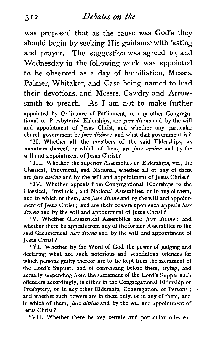was proposed that as the cause was God's they should begin by seeking His guidance with fasting and prayer. The suggestion was agreed to, and Wednesday in the following week was appointed to be observed as a day of humiliation, Messrs. Palmer, Whitaker, and Case being named to lead their devotions, and Messrs. Cawdry and Arrowsmith to preach. As I am not to make further appointed by Ordinance of Parliament, or any other Congregational or Presbyterial Elderships, are *jure divino* and by the will and appointment of Jesus Christ, and whether any particular church-government be *jure divino*; and what that government is?

**'11.** Whether all the members of the said Elderships, as members thereof, or which of them, are *jure divino* and by the will and appointment of Jesus Christ?

' **111.** Whether the superior Assemblies or Elderships, viz., the Classical, Provincial, and National, whether all or any of them are *jure divino* and by the will and appointment of Jesus Christ ?

' **IV.** Whether appeals from Congregational Elderships to the Classical, Provincial, and National Assemblies, or to any of them, and to which of them, are *jure divino* and by the will and appointment of Jesus Christ ; and are their powers upon such appeals *jure divimo* and by the will and appointment of Jesus Christ?

'V. Whether (Ecumenical Assemblies are jure *divino;* and whether there be appeals from any of the former Assemblies to the said (Ecumenical *jure divino* and by the will and appointment of Jesus Christ ?

**'VI.** Whether by the Word of God the power of judging and declaring what are such notorious and scandalous offences for which persons guilty thereof are to be kept from the sacrament of the Lord's Supper, and of conventing before them, trying, and actually suspending from the sacrament of the Lord's Supper such offenders accordingly, is either in the Congregational Eldership or Presbytery, or in any other Eldership, Congregation, or Persons; and whether such powers are in them only, or in any of them, and in which of them, *jure divino* and by the will and appointment of Jesus Christ ?

'VII. Whether there be any certain and particular rules ex-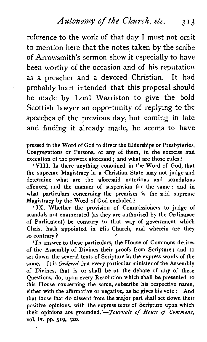# *Autonomy of the Church, etc.* 3 **I 3**

reference to the work of that day I must not omit to mention here that the notes taken by the scribe of Arrowsmith's sermon show it especially to have been worthy of the occasion and of his reputation as a preacher and a devoted Christian. It had probably been intended that this proposal should be made by Lord Warriston to give the bold Scottish lawyer an opportunity of replying to the speeches of the previous day, but coming in late and finding it already made, he seems to have

pressed in the Word of God to direct the Elderships or Presbyteries, Congregations or Persons, or any of them, in the exercise and execution of the powers aforesaid ; and what are those rules?

'VIII. Is there anything contained in the Word of God, that the supreme Magistracy in a Christian State may not judge and determine what are the aforesaid notorious and scandalous offences, and the manner of suspension for the same: and in what particulars concerning the premises is the said supreme Magistracy by the Word of God excluded?

'IX. Whether the provision of Commissioners to judge of scandals not enumerated (as they are authorised by the Ordinance of Parliament) be contrary to that way of government which Christ hath appointed in His Church, and wherein are they so contrary?

'In answer to these particulars, the House of Commons desires of the Assembly of Divines their proofs from Scripture; and to set down the several texts of Scripture in the express words of the same. It is Ordered that every particular minister of the Assembly of Divines, that is or shall be at the debate of any of these Questions, do, upon every Resolution which shall be presented to this House concerning the same, subscribe his respective name, either with the affirmative or negative, as he gives his vote : And that those that do dissent from the major part shall set down their positive opinions, with the express texts of Scripture upon which their opinions are grounded.'- *Journals of House of Commons*, vol. iv. pp. **519,** 520.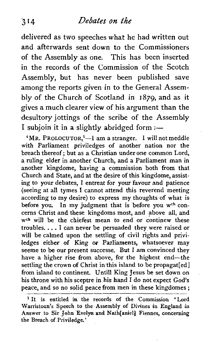delivered as two speeches what he had written out and afterwards sent down to the Commissioners of the Assembly as one. This has been inserted in the records of the Commission of the Scotch Assembly, but has never been published save among the reports given in to the General Assembly of the Church of Scotland in 1879, and as it gives a much clearer view of his argument than the desultory jottings of the scribe of the Assembly I subjoin it in a slightly abridged form :-

 $'MR$ . PROLOCUTOR, $'-I$  am a stranger. I will not meddle with Parliament priviledges of another nation nor the breach thereof; but as a Christian under one common Lord, a ruling elder in another Church, and a Parliament man in another kingdome, having a commission both from that Church and State, and at the desire of this kingdome, assisting to your debates, I entreat for your favour and patience (seeing at all tymes I cannot attend this reverend meeting according to my desire) to express my thoughts of what is before you. In my judgment that is before you **wch** concerns Christ and these kingdoms most, and above all, and **wch** will be the chiefest mean to end or continew these troubles. . . . <sup>I</sup>**can** never be persuaded they were raised or will be calmed upon the settling of civil rights and priviledges either of King or Parliaments, whatsoever may seeme to be our present successe. But I am convinced they have a higher rise from above, for the highest end-the settling the crown of Christ in this island to be propagat[ed] from island to continent. Until1 King Jesus be set down on his throne with his sceptre in his hand I do not expect God's peace, and so no solid peace from men in these kingdomes ;

<sup>&</sup>lt;sup>1</sup> It is entitled in the records of the Commission 'Lord Warristoun's Speech to the Assembly of Divines in England in Answer to Sir John Evelyn and Nath[aniel] Fiennes, concerning the Breach of Priviledge,'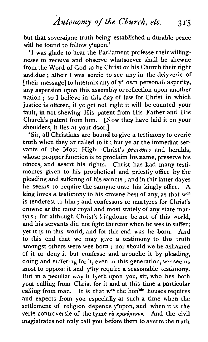but that soveraigne truth being established a durable peace will be found to follow v'upon.'

'I was glade to hear the Parliament professe their willingnesse to receive and observe whatsoever shall be shewne from the Word of God to be Christ or his Church their right and due ; albeit I wes sorrie to see any in the delyverie of  $[$ their message] to intermix any of  $y<sup>r</sup>$  own personall asperity, any aspersion upon this assembly or reflection upon another nation ; so I believe in this day of law for Christ in which justice is offered, if ye get not right it will be counted your fault, in not shewing His patent from His Father and His Church's patent from him. [Now they have laid it on your shoulders, it lies at your door.]

'Sir, all Christians are bound to give a testimony to everie truth when they ar called to it ; but ye ar the immediat servants of the Most High-Christ's *precones* and heralds, whose propper function is to proclaim his name, preserve his offices, and assert his rights. Christ has had many testimonies given to his prophetical and priestly office by the pleading and suffering of his saincts ; and in thir latter dayes he seems to require the samyne unto his kingly office. A king loves a testimony to his crowne best of any, as that w<sup>ch</sup> is tenderest to him ; and confessors or martyres for Christ's crowne ar the most royal and most stately of any state martyrs ; for although Christ's kingdome be not of this world, and his servants did not fight therefor when he wes to suffer; yet it is in this world, and for this end was he born. And to this end that we may give a testimony to this truth amongst others were wee born ; nor should we be ashamed of it or deny it but confesse and avouche it by pleading, doing and suffering for it, even in this generation, w<sup>ch</sup> seems most to oppose it and yrby require a seasonable testimony. But in a peculiar way it lyeth upon you, sir, who hes both your calling from Christ for it and at this time a particular calling from man. It is that w<sup>th</sup> the hon<sup>ble</sup> houses requires and expects from you especially at such a time when the settlement of religion depends yrupon, and when it is the verie controversie of the tyme  $\tau\delta$  *kpivopievov*. And the civil magistrates not only call you before them to averre the truth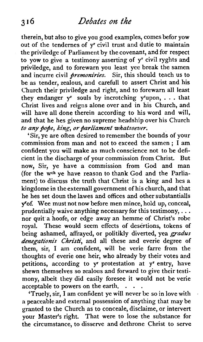therein, but also to give you good examples, comes befor yow out of the tendernes of v<sup>r</sup> civil trust and dutie to maintain the priviledge of Parliament by the covenant, and for respect to yow to give a testimony asserting of y<sup>r</sup> civil ryghts and priviledge, and to forewarn you least yee break the samen and incurre civil *premoniries*. Sir, this should teach us to be as tender, zealous, and carefull to assert Christ and his Church their priviledge and right, and to forewarn all least they endanger  $v^r$  souls by incrotching  $v^r$ upon, ... that Christ lives and reigns alone over and in his Church, and will have all done therein according to his word and will. and that he hes given no supreme headship over his Church to any pope, king, or parliament whatsoever.

'Sir, ye are often desired to remember the bounds of your commission from man and not to exceed the samen ; I am confident you will make as much conscience not to be deficient in the discharge of your commission from Christ. But now, Sir, ye have a commission from God and man (for the  $w<sup>ch</sup>$  ve have reason to thank God and the Parliament) to discuss the truth that Christ is a king and hes a kingdome in the externall government of his church, and that he hes set doun the lawes and offices and other substantialls y'of. Wee must not now before men mince, hold up, conceal, prudentially waive anything necessary for this testimony,  $\dots$ nor quit a hoofe, or edge away an hemme of Christ's robe royal. These would seem effects of desertions, tokens of being ashamed, affrayed, or politikly diverted, yea gradus denegationis Christi, and all these and everie degree of them, sir, I am confident, will be verie farre from the thoughts of everie one heir, who already by their votes and petitions, according to yr protestation at yr entry, have shewn themselves so zealous and forward to give their testimony, albeit they did easily foresee it would not be verie acceptable to powers on the earth. . . .

ceptable to powers on the earth.  $\cdot$  .  $\cdot$  .  $\cdot$  . 'Truely, sir, I am confident ye will never be so in love with a peaceable and external possession of anything that may be granted to the Church as to concede, disclaime, or intervert your Master's right. That were to lose the substance for the circumstance, to disserve and dethrone Christ to serve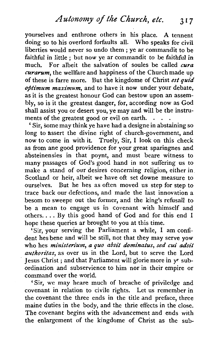yourselves and enthrone others in his place. **A** tennent doing so to his overlord forfaults all. Who speaks for civil liberties would never so undo them ; ye ar commandit to be faithful in little ; but now ye ar commandit to be faithful in much. For albeit the salvation of soules be called  $\alpha$ ra  $\alpha$ *curarum*, the wellfare and happiness of the Church made up of these is farre more. But the kingdome of Christ est **quid**   $\phi$ timum maximum, and to have it now under your debate, as it is the greatest honour God can bestow upon an assembly, so is it the greatest danger, for, according now as God shall assist you or desert you, ye may and will be the instruments of the greatest good or evil on earth.

' Sir, some may think ye have had a designe in abstaining so long to assert the divine right of church-government, and now to come in with it. Truely, Sir, I look on this check as from ane good providence for your great sparingnes and absteinensies in that poynt, and must beare witness to many passages of God's good hand in not suffering us to make a stand of our desires concerning religion, either in Scotland or heir, albeit we have oft set downe measure to ourselves. But he hes as often moved us step for step to trace back our defections, and made the last innovation a besom to sweepe out the former, and the king's refusall to be a mean to engage us in covenant with himself and others.. . . By this good hand of God and for this end I hope these queries ar brought to you at this time.

'Sir, your serving the Parliament a while, I am confident hes bene and will be still, not that they may serve yow who hes ministerium, a quo absit dominatus, sed cui adsit authoritas, as over us in the Lord, but to serve the Lord Jesus Christ ; and that Parliament will glorie more in vr subordination and subservience to him nor in their empire or command over the world.

'Sir, we may heare much of breache of priviledge and covenant in relation to civile rights. Let us remember in the covenant the three ends in the title and preface, three maine duties in the body, and the thrie effects in the close. The covenant begins with the advancement and ends with the enlargement of the kingdome of Christ as the sub-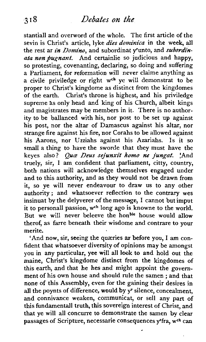stantiall and overword of the whole. The first article of the sevin is Christ's article, lyke dies dominica in the week, all the rest ar in Domino, and subordinat y'unto, and subordinata non pugnant. And certainlie so judicious and happy, so protesting, covenanting, declaring, so doing and suffering a Parliament, for reformation will never chime anything as a civile priviledge or right w<sup>ch</sup> ye will demonstrat to be proper to Christ's kingdome as distinct from the kingdomes of the earth. Christ's throne is highest, and his priviledge supreme as only head and king of his Church, albeit kings and magistrates may be members in it. There is no authority to be ballanced with his, nor post to be set up against his post, nor the altar of Damascus against his altar, nor strange fire against his fire, nor Corahs to be allowed against his Aarons, nor Uzziahs against his Azariahs. Is it so small a thing to have the sworde that they must have the keyes also? *Quæ Deus sejunxit homo ne jungat*. 'And truely, sir, I am confident that parliament, citty, country, both nations will acknowledge themselves engaged under and to this authority, and as they would not be drawn from it, so ye will never endeavour to draw us to any other authority; and whatsoever reflection to the contrary wes insinuat by the delyverer of the message, I cannot but imput it to personall passion, w<sup>ch</sup> long ago is knowne to the world. But we will never beleeve the hon<sup>ble</sup> house would allow therof, as farre beneath their wisdome and contrare to your merite.

'And now, sir, seeing the quæries ar before you, I am confident that whatsoever diversity of opinions may be amongst you in any particular, yee will all look to and hold out the maine, Christ's kingdome distinct from the kingdomes of this earth, and that he hes and might appoint the govemment of his own house and should rule the samen ; and that none of this Assembly, even for the gaining their desires in all the poynts of difference, would by  $y^r$  silence, concealment. and connivance weaken, communicat, or sell any part of this fundamental] truth, this sovereign interest of Christ, and that ye will all concurre to demonstrate the samen by clear passages of Scripture, necessarie consequences y'fra, w<sup>ch</sup> can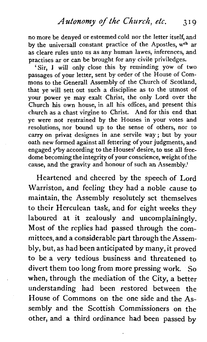no more be denyed or esteemed cold nor the letter itself, and by the universall constant practice of the Apostles,  $w<sup>ch</sup>$  ar as cleare rules unto us as any human lawes, inferences, and practises ar or can be brought for any civile priviledges.

'Sir, I will only close this by reminding yow of two passages of your letter, sent by order of the House of Commons to the Generall Assembly of the Church of Scotland, that ye will sett out such a discipline as to the utmost of your power ye may exalt Christ, the only Lord over the Church his own house, in all his offices, and present this church as a chast virgine to Christ. And for this end that ye **were** not restrained by the Houses in your votes and resolutions, nor bound up to the sense of others, nor to carry on privat designes in ane servile way; but by your oath new formed against all fettering of your judgments, and engaged yrby according to the Houses' desire, to use all freedome becoming the integrity of your conscience, weight of the cause, and the gravity and honour of such an Assembly!

Heartened and cheered by the speech of Lord Warriston, and feeling they had a noble cause to maintain, the Assembly resolutely set themselves to their Herculean task, and for eight weeks they laboured at it zealously and uncomplainingly. Most of the replies had passed through the committees, and a considerable **part** through the Assembly, but, as had been anticipated by many, it proved to be a very tedious business and threatened to divert them too long from more pressing work. So when, through the mediation of the City, a better understanding had been restored between the House of Commons on the one side and the Assembly and the Scottish Commissioners on the other, and a third ordinance had been passed by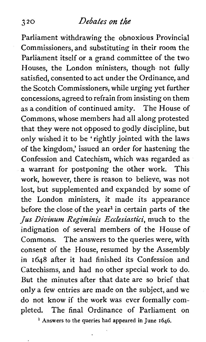#### **3 20** *DebaLes* **on** the

Parliament withdrawing the obnoxious Provincial Commissioners, and substituting in their room the Parliament itself or a grand committee of the two Houses, the London ministers, though not fully satisfied, consented to act under the Ordinance, and the Scotch Commissioners, while urging yet further concessions, agreed to refrain from insisting on them as a condition of continued amity. The House of Commons, whose members had all along protested that they were not opposed to godly discipline, but only wished it to be 'rightly jointed with the laws of the kingdom,' issued an order for hastening the Confession and Catechism, which was regarded as a warrant for postponing the other work. This work, however, there is reason to believe, was not lost, but supplemented and expanded by some of the London ministers, it made its appearance before the close of the year<sup>1</sup> in certain parts of the *jus Divinum Regiminis Ecclesiastic!,* much to the indignation of several members of the House of Commons. The answers to the queries were, with consent of the House, resumed by the Assembly in **1648** after it had finished its Confession and Catechisms, and had no other special work to do. But the minutes after that date are so brief that only a few entries are made on the subject, and we do not know if the work was ever formally completed. The final Ordinance of Parliament on

' **Answers to the queries had appeared in June 1646.**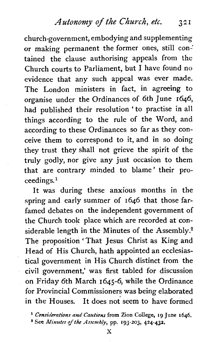*Autonomy of the Chwch, etc.* **3 2** I

church-government, embodying and supplementing or making permanent the former ones, still contained the clause authorising appeals from the Church courts to Parliament, but I have found no evidence that any such appeal was ever made. The London ministers in fact, in agreeing to organise under the Ordinances of 6th June 1646, had published their resolution 'to practise in all things according to the rule of the Word, and according to these Ordinances so far as they conceive them to correspond to it, and in so doing they trust they shall not grieve the spirit of the truly godly, nor give any just occasion to them that are contrary minded to blame' their proceedings.<sup>1</sup>

It was during these anxious months in the spring and early summer of 1646 that those farfamed debates on the independent government of the Church took place which are recorded at considerable length in the Minutes of the Assembly.<sup>2</sup> The proposition 'That Jesus Christ as King and Head of His Church, hath appointed an ecclesiastical government in His Church distinct from the civil government,' was first tabled for discussion on Friday 6th March 1645-6, while the Ordinance for Provincial Commissioners was being elaborated in the Houses. It does not seem to have formed

<sup>1</sup> Considerations and Cautions from Zion College, 19 June 1646.

 $*$  See *Minutes of the Assembly*, pp. **193-203, 424-432.**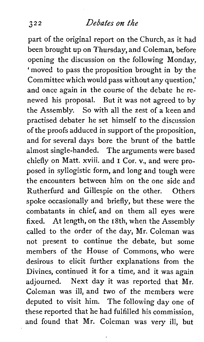### 3 **2 2** *Debates* **on** *the*

part of the original report on the Church, as it had been brought up on Thursday, and Coleman, before opening the discussion on the following Monday, ' moved to pass the proposition brought in by the Committee which would pass without any question,' and once again in the course of the debate he renewed his proposal. But it was not agreed to by the Assembly. So with all the zest of a keen and practised debater he set himself to the discussion of the proofs adduced in support of the proposition, and for several days bore the brunt of the battle almost single-handed. The arguments were based chiefly on Matt. xviii. and I Cor. v., and were proposed in syllogistic form, and long and tough were the encounters between him on the one side and Rutherfurd and Gillespie on the other. Others spoke occasionally and briefly, but these were the combatants in chief, and on them all eyes were fixed. At length, on the  $18th$ , when the Assembly called to the order of the day, Mr. Coleman was not present to continue the debate, but some members of the House of Commons, who were desirous to elicit further explanations from the Divines, continued it for a time, and it was again adjourned. Next day it was reported that Mr. Coleman was ill, and two of the members were deputed to visit him. The following day one of these reported that he had fulfilled his commission, and found that Mr. Coleman was very ill, but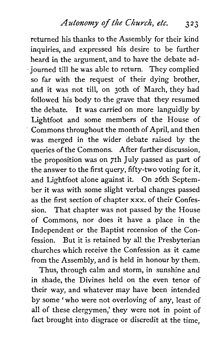returned his thanks to the Assembly for their kind inquiries, and expressed his desire to be further heard in the argument, and to have the debate adjourned till he was able to return. They complied so far with the request of their dying brother, and it was not till, on 30th of March, they had followed his body to the grave that they resumed the debate. It was carried on more languidly by Lightfoot and some members of the House of Commons throughout the month of April, and then was merged in the wider debate raised by the queries of the Commons. After further discussion, the proposition was on 7th July passed as part of the answer to the first query, fifty-two voting for it, and Lightfoot alone against it. On 26th September it was with some slight verbal changes passed as the first section of chapter xxx. of their Confession. That chapter was not passed by the House of Commons, nor does it have a place in the Independent or the Baptist recension of the Confession. But it is retained by all the Presbyterian churches which receive the Confession as it came from the Assembly, and is held in honour by them.

Thus, through calm and storm, in sunshine and in shade, the Divines held on the even tenor of their way, and whatever may have been intended by some ' who were not overloving of any, least of all of these clergymen,' they were not in point of fact brought into disgrace or discredit at the time,